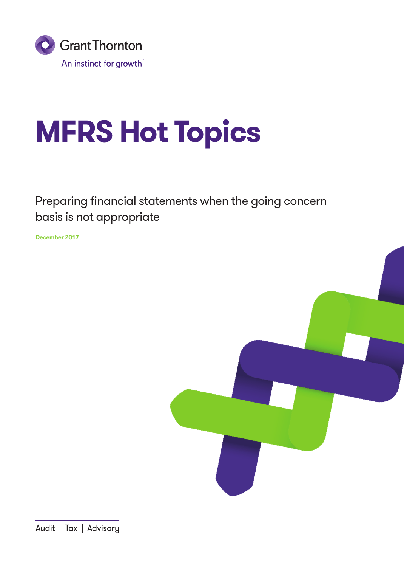

# **MFRS Hot Topics**

## Preparing financial statements when the going concern basis is not appropriate

**December 2017**

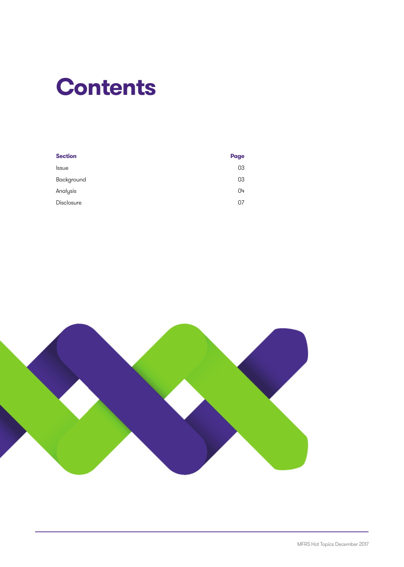## **Contents**

| <b>Section</b>    | <b>Page</b> |
|-------------------|-------------|
| <b>Issue</b>      | 03          |
| Background        | 03          |
| Analysis          | 04          |
| <b>Disclosure</b> | 07          |
|                   |             |

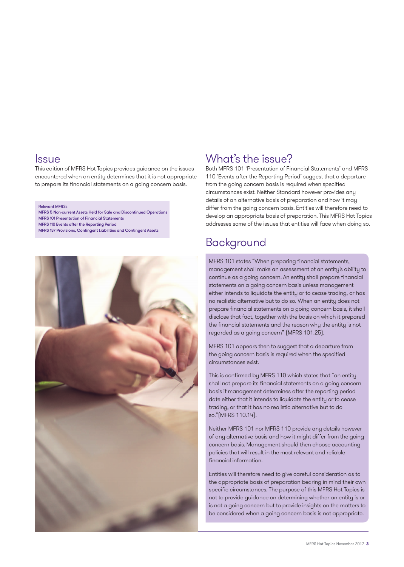### **Issue**

This edition of MFRS Hot Topics provides guidance on the issues encountered when an entity determines that it is not appropriate to prepare its financial statements on a going concern basis.

#### Relevant MFRSs

MFRS 5 Non-current Assets Held for Sale and Discontinued Operations MFRS 101 Presentation of Financial Statements MFRS 110 Events after the Reporting Period MFRS 137 Provisions, Contingent Liabilities and Contingent Assets



## What's the issue?

Both MFRS 101 'Presentation of Financial Statements' and MFRS 110 'Events after the Reporting Period' suggest that a departure from the going concern basis is required when specified circumstances exist. Neither Standard however provides any details of an alternative basis of preparation and how it may differ from the going concern basis. Entities will therefore need to develop an appropriate basis of preparation. This MFRS Hot Topics addresses some of the issues that entities will face when doing so.

## Background

MFRS 101 states "When preparing financial statements, management shall make an assessment of an entity's ability to continue as a going concern. An entity shall prepare financial statements on a going concern basis unless management either intends to liquidate the entity or to cease trading, or has no realistic alternative but to do so. When an entity does not prepare financial statements on a going concern basis, it shall disclose that fact, together with the basis on which it prepared the financial statements and the reason why the entity is not regarded as a going concern" (MFRS 101.25).

MFRS 101 appears then to suggest that a departure from the going concern basis is required when the specified circumstances exist.

This is confirmed by MFRS 110 which states that "an entity shall not prepare its financial statements on a going concern basis if management determines after the reporting period date either that it intends to liquidate the entity or to cease trading, or that it has no realistic alternative but to do so."(MFRS 110.14).

Neither MFRS 101 nor MFRS 110 provide any details however of any alternative basis and how it might differ from the going concern basis. Management should then choose accounting policies that will result in the most relevant and reliable financial information.

Entities will therefore need to give careful consideration as to the appropriate basis of preparation bearing in mind their own specific circumstances. The purpose of this MFRS Hot Topics is not to provide guidance on determining whether an entity is or is not a going concern but to provide insights on the matters to be considered when a going concern basis is not appropriate.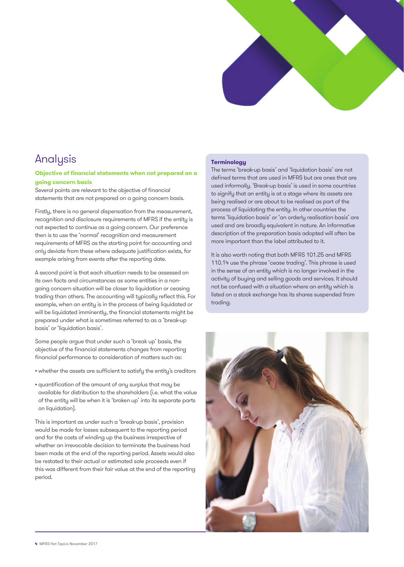

## Analysis

#### **Objective of financial statements when not prepared on a going concern basis**

Several points are relevant to the objective of financial statements that are not prepared on a going concern basis.

Firstly, there is no general dispensation from the measurement, recognition and disclosure requirements of MFRS if the entity is not expected to continue as a going concern. Our preference then is to use the 'normal' recognition and measurement requirements of MFRS as the starting point for accounting and only deviate from these where adequate justification exists, for example arising from events after the reporting date.

A second point is that each situation needs to be assessed on its own facts and circumstances as some entities in a nongoing concern situation will be closer to liquidation or ceasing trading than others. The accounting will typically reflect this. For example, when an entity is in the process of being liquidated or will be liquidated imminently, the financial statements might be prepared under what is sometimes referred to as a 'break-up basis' or 'liquidation basis'.

Some people argue that under such a 'break up' basis, the objective of the financial statements changes from reporting financial performance to consideration of matters such as:

- whether the assets are sufficient to satisfy the entity's creditors
- quantification of the amount of any surplus that may be available for distribution to the shareholders (i.e. what the value of the entity will be when it is 'broken up' into its separate parts on liquidation).

This is important as under such a 'break-up basis', provision would be made for losses subsequent to the reporting period and for the costs of winding up the business irrespective of whether an irrevocable decision to terminate the business had been made at the end of the reporting period. Assets would also be restated to their actual or estimated sale proceeds even if this was different from their fair value at the end of the reporting period.

#### **Terminology**

The terms 'break-up basis' and 'liquidation basis' are not defined terms that are used in MFRS but are ones that are used informally. 'Break-up basis' is used in some countries to signify that an entity is at a stage where its assets are being realised or are about to be realised as part of the process of liquidating the entity. In other countries the terms 'liquidation basis' or 'an orderly realisation basis' are used and are broadly equivalent in nature. An informative description of the preparation basis adopted will often be more important than the label attributed to it.

It is also worth noting that both MFRS 101.25 and MFRS 110.14 use the phrase 'cease trading'. This phrase is used in the sense of an entity which is no longer involved in the activity of buying and selling goods and services. It should not be confused with a situation where an entity which is listed on a stock exchange has its shares suspended from trading.

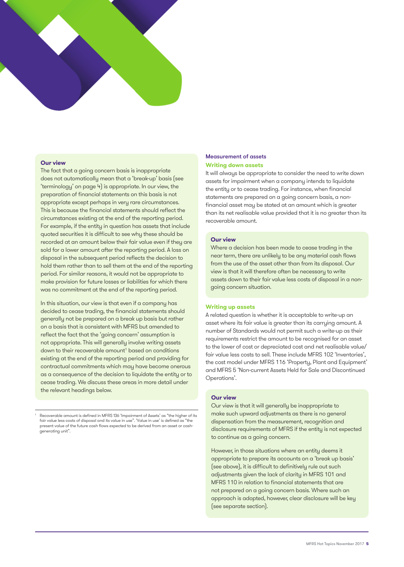

#### **Our view**

The fact that a going concern basis is inappropriate does not automatically mean that a 'break-up' basis (see 'terminology' on page 4) is appropriate. In our view, the preparation of financial statements on this basis is not appropriate except perhaps in very rare circumstances. This is because the financial statements should reflect the circumstances existing at the end of the reporting period. For example, if the entity in question has assets that include quoted securities it is difficult to see why these should be recorded at an amount below their fair value even if they are sold for a lower amount after the reporting period. A loss on disposal in the subsequent period reflects the decision to hold them rather than to sell them at the end of the reporting period. For similar reasons, it would not be appropriate to make provision for future losses or liabilities for which there was no commitment at the end of the reporting period.

In this situation, our view is that even if a company has decided to cease trading, the financial statements should generally not be prepared on a break up basis but rather on a basis that is consistent with MFRS but amended to reflect the fact that the 'going concern' assumption is not appropriate. This will generally involve writing assets down to their recoverable amount<sup>1</sup> based on conditions existing at the end of the reporting period and providing for contractual commitments which may have become onerous as a consequence of the decision to liquidate the entity or to cease trading. We discuss these areas in more detail under the relevant headings below.

1 Recoverable amount is defined in MFRS 136 'Impairment of Assets' as "the higher of its fair value less costs of disposal and its value in use". 'Value in use' is defined as "the present value of the future cash flows expected to be derived from an asset or cashgenerating unit".

#### Measurement of assets **Writing down assets**

It will always be appropriate to consider the need to write down assets for impairment when a company intends to liquidate the entity or to cease trading. For instance, when financial statements are prepared on a going concern basis, a nonfinancial asset may be stated at an amount which is greater than its net realisable value provided that it is no greater than its recoverable amount.

#### **Our view**

Where a decision has been made to cease trading in the near term, there are unlikely to be any material cash flows from the use of the asset other than from its disposal. Our view is that it will therefore often be necessary to write assets down to their fair value less costs of disposal in a nongoing concern situation.

#### **Writing up assets**

A related question is whether it is acceptable to write-up an asset where its fair value is greater than its carrying amount. A number of Standards would not permit such a write-up as their requirements restrict the amount to be recognised for an asset to the lower of cost or depreciated cost and net realisable value/ fair value less costs to sell. These include MFRS 102 'Inventories', the cost model under MFRS 116 'Property, Plant and Equipment' and MFRS 5 'Non-current Assets Held for Sale and Discontinued Operations'.

#### **Our view**

Our view is that it will generally be inappropriate to make such upward adjustments as there is no general dispensation from the measurement, recognition and disclosure requirements of MFRS if the entity is not expected to continue as a going concern.

However, in those situations where an entity deems it appropriate to prepare its accounts on a 'break up basis' (see above), it is difficult to definitively rule out such adjustments given the lack of clarity in MFRS 101 and MFRS 110 in relation to financial statements that are not prepared on a going concern basis. Where such an approach is adopted, however, clear disclosure will be key (see separate section).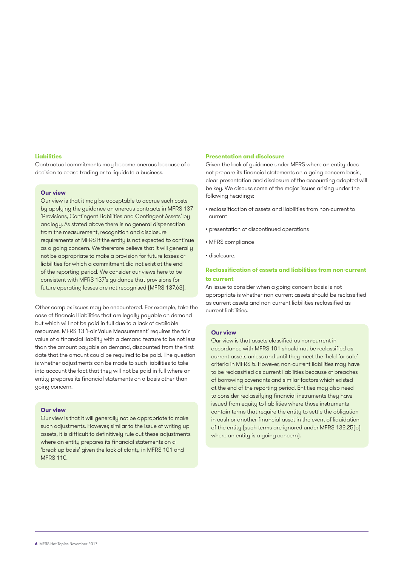#### **Liabilities**

Contractual commitments may become onerous because of a decision to cease trading or to liquidate a business.

#### **Our view**

Our view is that it may be acceptable to accrue such costs by applying the guidance on onerous contracts in MFRS 137 'Provisions, Contingent Liabilities and Contingent Assets' by analogy. As stated above there is no general dispensation from the measurement, recognition and disclosure requirements of MFRS if the entity is not expected to continue as a going concern. We therefore believe that it will generally not be appropriate to make a provision for future losses or liabilities for which a commitment did not exist at the end of the reporting period. We consider our views here to be consistent with MFRS 137's guidance that provisions for future operating losses are not recognised (MFRS 137.63).

Other complex issues may be encountered. For example, take the case of financial liabilities that are legally payable on demand but which will not be paid in full due to a lack of available resources. MFRS 13 'Fair Value Measurement' requires the fair value of a financial liability with a demand feature to be not less than the amount payable on demand, discounted from the first date that the amount could be required to be paid. The question is whether adjustments can be made to such liabilities to take into account the fact that they will not be paid in full where an entity prepares its financial statements on a basis other than going concern.

#### **Our view**

Our view is that it will generally not be appropriate to make such adjustments. However, similar to the issue of writing up assets, it is difficult to definitively rule out these adjustments where an entity prepares its financial statements on a 'break up basis' given the lack of clarity in MFRS 101 and MFRS 110.

#### **Presentation and disclosure**

Given the lack of guidance under MFRS where an entity does not prepare its financial statements on a going concern basis, clear presentation and disclosure of the accounting adopted will be key. We discuss some of the major issues arising under the following headings:

- reclassification of assets and liabilities from non-current to current
- presentation of discontinued operations
- MFRS compliance
- disclosure.

#### **Reclassification of assets and liabilities from non-current to current**

An issue to consider when a going concern basis is not appropriate is whether non-current assets should be reclassified as current assets and non-current liabilities reclassified as current liabilities.

#### **Our view**

Our view is that assets classified as non-current in accordance with MFRS 101 should not be reclassified as current assets unless and until they meet the 'held for sale' criteria in MFRS 5. However, non-current liabilities may have to be reclassified as current liabilities because of breaches of borrowing covenants and similar factors which existed at the end of the reporting period. Entities may also need to consider reclassifying financial instruments they have issued from equity to liabilities where those instruments contain terms that require the entity to settle the obligation in cash or another financial asset in the event of liquidation of the entity (such terms are ignored under MFRS 132.25(b) where an entity is a going concern).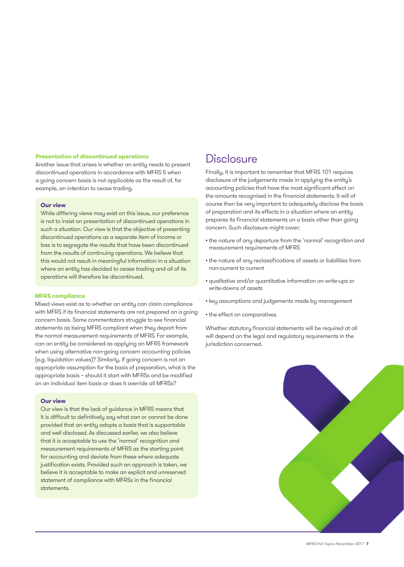#### **Presentation of discontinued operations**

Another issue that arises is whether an entity needs to present discontinued operations in accordance with MFRS 5 when a going concern basis is not applicable as the result of, for example, an intention to cease trading.

#### **Our view**

While differing views may exist on this issue, our preference is not to insist on presentation of discontinued operations in such a situation. Our view is that the objective of presenting discontinued operations as a separate item of income or loss is to segregate the results that have been discontinued from the results of continuing operations. We believe that this would not result in meaningful information in a situation where an entity has decided to cease trading and all of its operations will therefore be discontinued.

#### **MFRS compliance**

Mixed views exist as to whether an entity can claim compliance with MFRS if its financial statements are not prepared on a going concern basis. Some commentators struggle to see financial statements as being MFRS compliant when they depart from the normal measurement requirements of MFRS. For example, can an entity be considered as applying an MFRS framework when using alternative non-going concern accounting policies (e.g. liquidation values)? Similarly, if going concern is not an appropriate assumption for the basis of preparation, what is the appropriate basis – should it start with MFRSs and be modified on an individual item basis or does it override all MFRSs?

#### **Our view**

Our view is that the lack of guidance in MFRS means that it is difficult to definitively say what can or cannot be done provided that an entity adopts a basis that is supportable and well disclosed. As discussed earlier, we also believe that it is acceptable to use the 'normal' recognition and measurement requirements of MFRS as the starting point for accounting and deviate from these where adequate justification exists. Provided such an approach is taken, we believe it is acceptable to make an explicit and unreserved statement of compliance with MFRSs in the financial statements.

### **Disclosure**

Finally, it is important to remember that MFRS 101 requires disclosure of the judgements made in applying the entity's accounting policies that have the most significant effect on the amounts recognised in the financial statements. It will of course then be very important to adequately disclose the basis of preparation and its effects in a situation where an entity prepares its financial statements on a basis other than going concern. Such disclosure might cover:

- the nature of any departure from the 'normal' recognition and measurement requirements of MFRS
- the nature of any reclassifications of assets or liabilities from non-current to current
- qualitative and/or quantitative information on write-ups or write-downs of assets
- key assumptions and judgements made by management
- the effect on comparatives.

Whether statutory financial statements will be required at all will depend on the legal and regulatory requirements in the jurisdiction concerned.

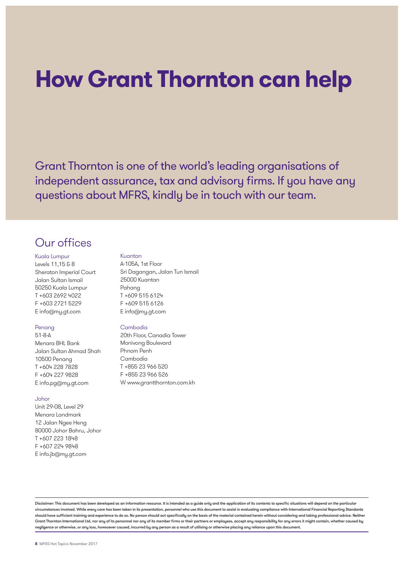## **How Grant Thornton can help**

Grant Thornton is one of the world's leading organisations of independent assurance, tax and advisory firms. If you have any questions about MFRS, kindly be in touch with our team.

## Our offices

Kuala Lumpur

Levels 11,15 & 8 Sheraton Imperial Court Jalan Sultan Ismail 50250 Kuala Lumpur T +603 2692 4022 F +603 2721 5229 E info@my.gt.com

#### Penang

51-8-A Menara BHL Bank Jalan Sultan Ahmad Shah 10500 Penang T +604 228 7828 F +604 227 9828 E info.pg@my.gt.com

#### Johor

Unit 29-08, Level 29 Menara Landmark 12 Jalan Ngee Heng 80000 Johor Bahru, Johor T +607 223 1848 F +607 224 9848 E info.jb@my.gt.com

#### Kuantan

A-105A, 1st Floor Sri Dagangan, Jalan Tun Ismail 25000 Kuantan Pahang T +609 515 6124 F +609 515 6126 E info@my.gt.com

#### Cambodia

20th Floor, Canadia Tower Monivong Boulevard Phnom Penh Cambodia T +855 23 966 520 F +855 23 966 526 W www.grantthornton.com.kh

Disclaimer: This document has been developed as an information resource. It is intended as a guide only and the application of its contents to specific situations will depend on the particular circumstances involved. While every care has been taken in its presentation, personnel who use this document to assist in evaluating compliance with International Financial Reporting Standards should have sufficient training and experience to do so. No person should act specifically on the basis of the material contained herein without considering and taking professional advice. Neither Grant Thornton International Ltd, nor any of its personnel nor any of its member firms or their partners or employees, accept any responsibility for any errors it might contain, whether caused by negligence or otherwise, or any loss, howsoever caused, incurred by any person as a result of utilising or otherwise placing any reliance upon this document.